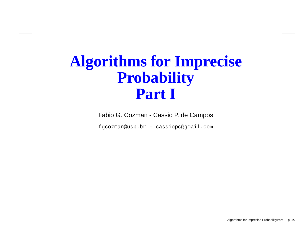## **Algorithms for ImpreciseProbabilityPart I**

Fabio G. Cozman - Cassio P. de Campos

fgcozman@usp.br - cassiopc@gmail.com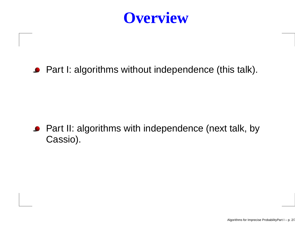

#### ● Part I: algorithms without independence (this talk).

#### ■ Part II: algorithms with independence (next talk, by Cassio).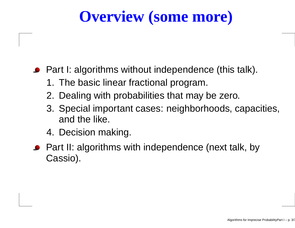# **Overview (some more)**

#### ● Part I: algorithms without independence (this talk).

- 1. The basic linear fractional program.
- 2. Dealing with probabilities that may be zero.
- 3. Special important cases: neighborhoods, capacities, and the like.
- 4. Decision making.
- Part II: algorithms with independence (next talk, by Cassio).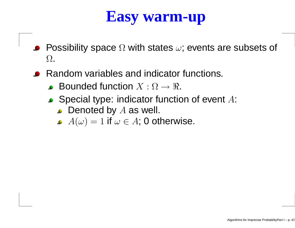#### **Easy warm-up**

- Possibility space  $\Omega$  with states  $\omega$ ; events are subsets of  $\bullet$  $\Omega$ .
- Random variables and indicator functions.
	- Bounded function  $X:\Omega\to\Re.$
	- Special type: indicator function of event  $A\!$ :
		- Denoted by  $A$  as well.<br>A( ) = 1 if =  $\pi$  4: 0 et
		- $A(\omega)=1$  if  $\omega\in A;$  0 otherwise.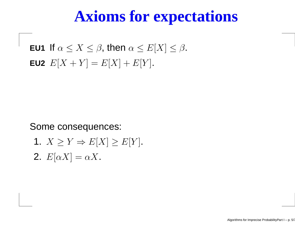#### **Axioms for expectations**

**EU1** If  $\alpha \leq X \leq \beta$ , then  $\alpha \leq E[X] \leq \beta$ . **EU2**  $E[X+Y] = E[X] + E[Y]$ .

Some consequences:

1.  $X \geq Y \Rightarrow E[X] \geq E[Y]$ . **2.**  $E[\alpha X] = \alpha X$ .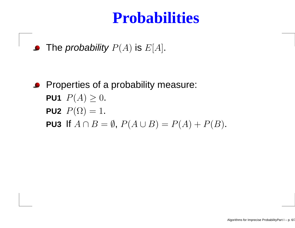#### **Probabilities**

The *probability*  $P(A)$  *is*  $E[A]$ *.* 

**•** Properties of a probability measure: PU1  $P(A)\geq 0.$ **PU2**  $P(\Omega) = 1$ . **PU3** If  $A \cap B = \emptyset$ ,  $P(A \cup B) = P(A) + P(B)$ .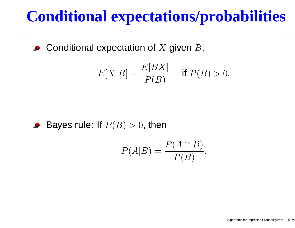## **Conditional expectations/probabilities**

Conditional expectation of  $X$  given  $B$ ,  $\bullet$ 

$$
E[X|B] = \frac{E[BX]}{P(B)} \quad \text{if } P(B) > 0.
$$

#### Bayes rule: If  $P(B)>0,$  then

$$
P(A|B) = \frac{P(A \cap B)}{P(B)}.
$$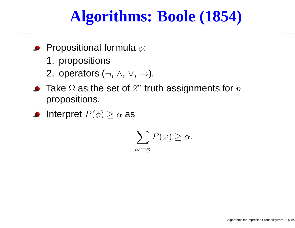# **Algorithms: Boole (1854)**

- Propositional formula  $\phi$ :  $\bullet$ 
	- 1. propositions
	- 2. operators (¬, ∧, ∨, →).
- Take  $\Omega$  as the set of  $2^n$  truth assignments for  $n$ propositions.
- Interpret  $P(\phi)\geq\alpha$  as

$$
\sum_{\omega \models \phi} P(\omega) \ge \alpha.
$$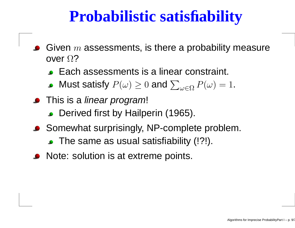## **Probabilistic satisfiability**

- Given  $m$  assessments, is there a probability measure<br>ever O2 over  $\Omega$ ?
	- Each assessments is <sup>a</sup> linear constraint.
	- Must satisfy  $P(\omega)\geq0$  and  $\sum_{\omega\in\Omega}P(\omega)=1$ .
- This is a *linear program*!
	- **Derived first by Hailperin (1965).**
- Somewhat surprisingly, NP-complete problem. The same as usual satisfiability (!?!).
- Note: solution is at extreme points.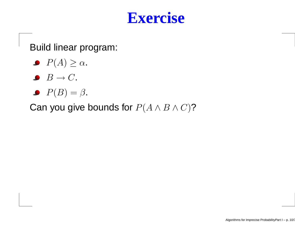

Build linear program:

- $P(A) \geq \alpha$ .
- $B \to C$ .
- $P(B) = \beta$ .

Can you give bounds for  $P(A \land B \land C)$ ?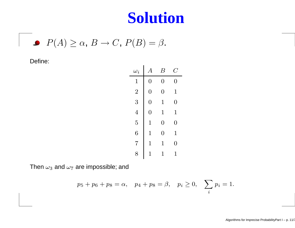#### **Solution**

 $P(A) \ge \alpha$ ,  $B \to C$ ,  $P(B) = \beta$ .

#### Define:

| $\omega_i$      | $\overline{A}$ | $\bm{\mathcal{B}}$ | C              |
|-----------------|----------------|--------------------|----------------|
| $\overline{1}$  | $\overline{0}$ | $\overline{0}$     | $\overline{0}$ |
| $\overline{2}$  | $\overline{0}$ | $\overline{0}$     | $\mathbf 1$    |
| 3               | $\overline{0}$ | 1                  | $\overline{0}$ |
| $\overline{4}$  | $\overline{0}$ | 1                  | $\overline{1}$ |
| $\overline{5}$  | $\overline{1}$ | $\overline{0}$     | $\overline{0}$ |
| 6               | $\mathbf 1$    | $\overline{0}$     | $\overline{1}$ |
| $\overline{7}$  | 1              | 1                  | 0              |
| $8\overline{)}$ | 1              | 1                  | 1              |

Then  $\omega_3$  and  $\omega_7$  are impossible; and

$$
p_5 + p_6 + p_8 = \alpha
$$
,  $p_4 + p_8 = \beta$ ,  $p_i \ge 0$ ,  $\sum_i p_i = 1$ .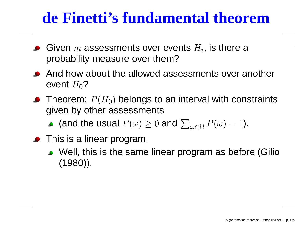## **de Finetti's fundamental theorem**

- Given  $m$  assessments over events  $H_i$ , is there a<br>probability moasure over them? probability measure over them?
- And how about the allowed assessments over another event  $H_0$ ?
- Theorem:  $P(H_0)$  belongs to an interval with constraints given by other assessments
	- (and the usual  $P(\omega)\geq 0$  and  $\sum_{\omega\in\Omega}P(\omega)=1$ ).
- **•** This is a linear program.
	- Well, this is the same linear program as before (Gilio(1980)).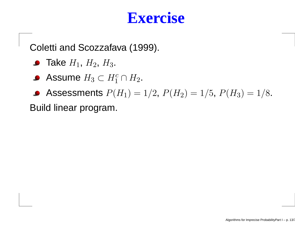Coletti and Scozzafava (1999).

- Take  $H_1$ ,  $H_2$ ,  $H_3$ .
- Assume  $H_3\subset H_1^c\cap H_2.$
- Assessments  $P(H_1) = 1/2$ ,  $P(H_2) = 1/5$ ,  $P(H_3) = 1/8$ .

Build linear program.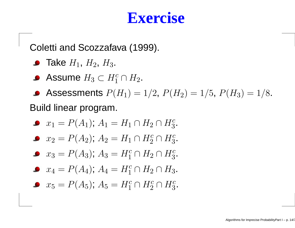Coletti and Scozzafava (1999).

- Take  $H_1$ ,  $H_2$ ,  $H_3$ .
- Assume  $H_3\subset H_1^c\cap H_2.$
- Assessments  $P(H_1) = 1/2$ ,  $P(H_2) = 1/5$ ,  $P(H_3) = 1/8$ . Build linear program.

$$
x_1 = P(A_1); A_1 = H_1 \cap H_2 \cap H_3^c.
$$

$$
x_2 = P(A_2); A_2 = H_1 \cap H_2^c \cap H_3^c.
$$

 $x_3 = P(A_3); A_3 = H_1^c \cap H_2 \cap H_3^c.$ 

$$
x_4 = P(A_4); A_4 = H_1^c \cap H_2 \cap H_3.
$$

 $x_5 = P(A_5); A_5 = H_1^c \cap H_2^c \cap H_3^c.$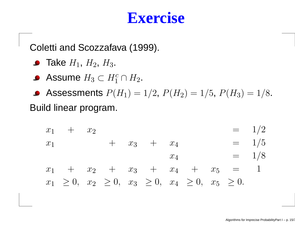Coletti and Scozzafava (1999).

- Take  $H_1$ ,  $H_2$ ,  $H_3$ .
- Assume  $H_3\subset H_1^c\cap H_2.$

Assessments  $P(H_1) = 1/2$ ,  $P(H_2) = 1/5$ ,  $P(H_3) = 1/8$ . Build linear program.

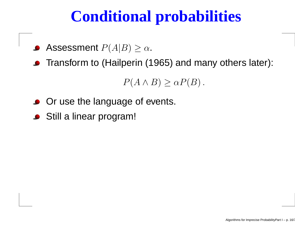# **Conditional probabilities**

- Assessment  $P(A|B)\geq \alpha.$
- **•** Transform to (Hailperin (1965) and many others later):

 $P(A \wedge B) \geq \alpha P(B)$ .

- **Or use the language of events.**
- Still <sup>a</sup> linear program!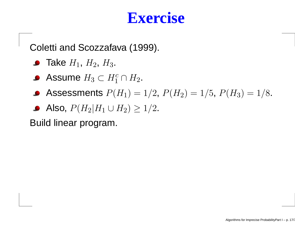Coletti and Scozzafava (1999).

- Take  $H_1$ ,  $H_2$ ,  $H_3$ .
- Assume  $H_3\subset H_1^c\cap H_2.$
- Assessments  $P(H_1) = 1/2$ ,  $P(H_2) = 1/5$ ,  $P(H_3) = 1/8$ .
- Also,  $P(H_2|H_1 \cup H_2) \ge 1/2$ .

Build linear program.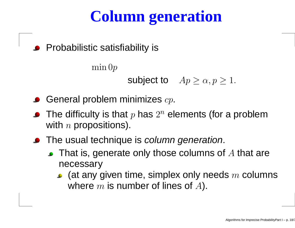# **Column generation**

**•** Probabilistic satisfiability is

 $\min 0p$ 

subject to  $Ap \geq \alpha, p \geq 1$ .

- General problem minimizes  $c p.$
- The difficulty is that  $p$  has  $2^n$  elements (for a problem with  $n$  propositions).
- The usual technique is *column generation*.
	- That is, generate only those columns of A that are necessary
		- (at any given time, simplex only needs  $m$  columns<br>where  $m$  is number of lines of  $\varLambda\lambda$ where  $m$  is number of lines of  $A$ ).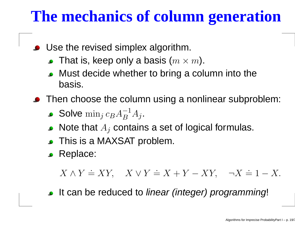# **The mechanics of column generation**

- Use the revised simplex algorithm.
	- That is, keep only a basis  $(m\times m).$
	- Must decide whether to bring <sup>a</sup> column into thebasis.
- **•** Then choose the column using a nonlinear subproblem:
	- Solve  $\min_j c_B A_B^{-1}$  B $A_j$  .
	- Note that  $A_j$  contains a set of logical formulas.
	- This is <sup>a</sup> MAXSAT problem.
	- **C** Replace:

 $X \wedge Y \doteq XY$ ,  $X \vee Y \doteq X + Y - XY$  $\neg X \doteq 1$  $-X$ .

It can be reduced to *linear (integer) programming*!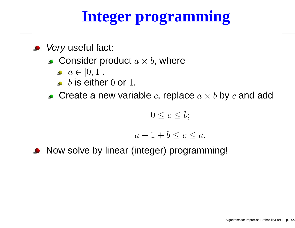# **Integer programming**

Very useful fact:

- Consider product  $a \times b$ , where
	- $a\in[0,1]$ .
	- $b$  is either  $0$  or  $1$ .
- Create a new variable  $c$ , replace  $a\times b$  by  $c$  and add

 $0\leq c\leq b;$ 

$$
a-1+b \le c \le a.
$$

Now solve by linear (integer) programming!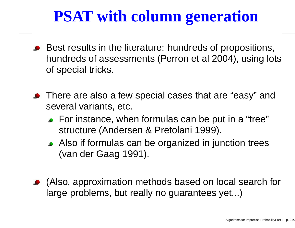# **PSAT with column generation**

- Best results in the literature: hundreds of propositions, hundreds of assessments (Perron et al 2004), using lotsof special tricks.
- **•** There are also a few special cases that are "easy" and several variants, etc.
	- For instance, when formulas can be put in <sup>a</sup> "tree"structure (Andersen & Pretolani 1999).
	- Also if formulas can be organized in junction trees(van der Gaag 1991).
- (Also, approximation methods based on local search forlarge problems, but really no guarantees yet...)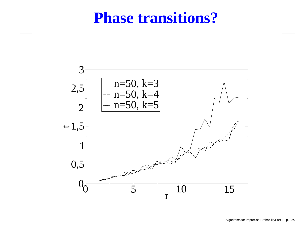#### **Phase transitions?**

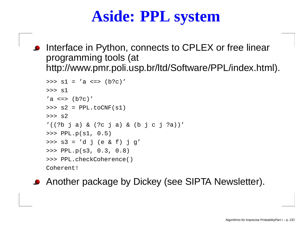## **Aside: PPL system**

Interface in Python, connects to CPLEX or free linearprogramming tools (at http://www.pmr.poli.usp.br/ltd/Software/PPL/index.html).

```
>>> s1 = 'a <=> (b?c)'
>>> s1
'a \iff (b?c)'>>> s2 = PPL.toCNF(s1)
>>> s2
'((?b j a) & (?c j a) & (b j c j ?a))'
>>> PPL.p(s1, 0.5)
>>> s3 = 'd j (e & f) j g'
>>> PPL.p(s3, 0.3, 0.8)
>>> PPL.checkCoherence()
Coherent!
```
**• Another package by Dickey (see SIPTA Newsletter).**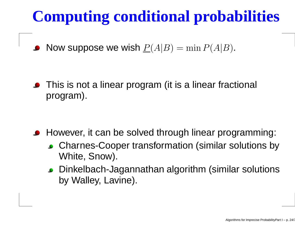# **Computing conditional probabilities**

Now suppose we wish  $P(A|B) = \min P(A|B)$ .

**•** This is not a linear program (it is a linear fractional program).

- **However, it can be solved through linear programming:** 
	- Charnes-Cooper transformation (similar solutions byWhite, Snow).
	- Dinkelbach-Jagannathan algorithm (similar solutionsby Walley, Lavine).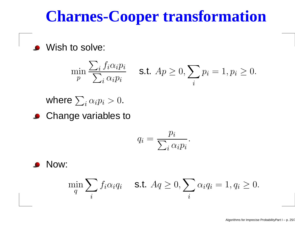#### **Charnes-Cooper transformation**

Wish to solve:

$$
\min_{p} \frac{\sum_{i} f_i \alpha_i p_i}{\sum_{i} \alpha_i p_i} \quad \text{ s.t. } A p \ge 0, \sum_{i} p_i = 1, p_i \ge 0.
$$

where  $\sum_i \alpha_i p_i>0.$ 

**Change variables to** 

$$
q_i = \frac{p_i}{\sum_i \alpha_i p_i}
$$

.

Now:

$$
\min_{q} \sum_{i} f_i \alpha_i q_i \quad \text{s.t. } Aq \ge 0, \sum_{i} \alpha_i q_i = 1, q_i \ge 0.
$$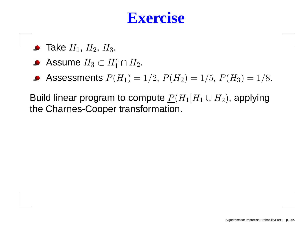- Take  $H_1$ ,  $H_2$ ,  $H_3$ .
- Assume  $H_3\subset H_1^c\cap H_2$ .
- Assessments  $P(H_1) = 1/2$ ,  $P(H_2) = 1/5$ ,  $P(H_3) = 1/8$ .

Build linear program to compute  $\underline{P}(H_1|H_1\cup H_2)$ , applying the Charnes-Cooper transformation.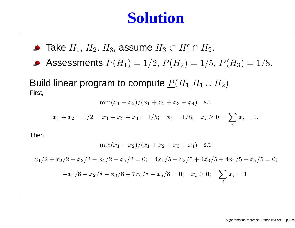#### **Solution**

Take  $H_1, H_2, H_3$ , assume  $H_3 \subset H_1^c \cap H_2$ .

Assessments  $P(H_1) = 1/2$ ,  $P(H_2) = 1/5$ ,  $P(H_3) = 1/8$ .

Build linear program to compute  $P(H_1|H_1\cup H_2).$ First,

 $\min(x_1 + x_2)/(x_1 + x_2 + x_3 + x_4)$  s.t.

$$
x_1 + x_2 = 1/2;
$$
  $x_1 + x_3 + x_4 = 1/5;$   $x_4 = 1/8;$   $x_i \ge 0;$   $\sum_i x_i = 1.$ 

Then

$$
\min(x_1+x_2)/(x_1+x_2+x_3+x_4) \quad \text{s.t.}
$$

 $x_1/2 + x_2/2 - x_3/2 - x_4/2 - x_5/2 = 0;$   $4x_1/5 - x_2/5 + 4x_3/5 + 4x_4/5 - x_5/5 = 0;$  $-x_1/8-x_2/8-x_3/8+7x_4/8-x_5/8=0;\quad x_i\geq 0;\quad \sum_i$ i $x_i = 1$ .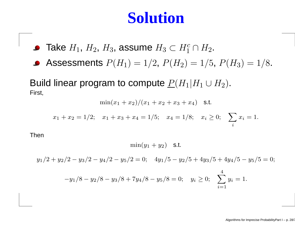#### **Solution**

Take  $H_1, H_2, H_3$ , assume  $H_3 \subset H_1^c \cap H_2$ .

Assessments  $P(H_1) = 1/2$ ,  $P(H_2) = 1/5$ ,  $P(H_3) = 1/8$ .

Build linear program to compute  $P(H_1|H_1\cup H_2).$ First,

 $\min(x_1 + x_2)/(x_1 + x_2 + x_3 + x_4)$  s.t.

$$
x_1 + x_2 = 1/2;
$$
  $x_1 + x_3 + x_4 = 1/5;$   $x_4 = 1/8;$   $x_i \ge 0;$   $\sum_i x_i = 1.$ 

Then

 $\min(y_1 + y_2)$  s.t.

 $y_1/2 + y_2/2 - y_3/2 - y_4/2 - y_5/2 = 0$ ;  $4y_1/5 - y_2/5 + 4y_3/5 + 4y_4/5 - y_5/5 = 0$ ;

$$
-y_1/8 - y_2/8 - y_3/8 + 7y_4/8 - y_5/8 = 0; \quad y_i \ge 0; \quad \sum_{i=1}^4 y_i = 1.
$$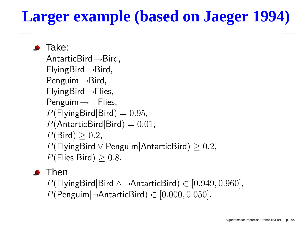# **Larger example (based on Jaeger 1994)**

Take: $\mathsf{AntarticBird}\!\rightarrow\!\!\mathsf{Bird},$  FlyingBird<sup>→</sup>Bird, Penguim<sup>→</sup>Bird, FlyingBird<sup>→</sup>Flies,Penguim→ ¬Flies,<br>D(FhirePirdDird)  $P(\textsf{FlyingBird}|\textsf{Bird}) = 0.95,$  $P(\text{AntarticBird}|\text{Bird}) = 0.01,$  $P(\mathsf{Bird})\geq 0.2,$  $T^2$  $P(\mathsf{FlyingBird} \lor \mathsf{Penguin} | \mathsf{AntarticBird}) \geq 0.2,$  $P(\mathsf{Flies}|\mathsf{Bird})\geq 0.8.$ 

 $\bullet$  Then

 $P(\text{FlyingBird}|\text{Bird} \land \neg \text{AntarticBird}) \in [0.949, 0.960],$  $P(\mathsf{Penguin}|\neg \mathsf{AntarticBird})\in [0.000,0.050].$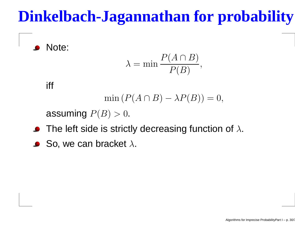# **Dinkelbach-Jagannathan for probability**

Note:

$$
\lambda = \min \frac{P(A \cap B)}{P(B)},
$$

iff

$$
\min\left(P(A \cap B) - \lambda P(B)\right) = 0,
$$

assuming  $P(B)>0.$ 

- The left side is strictly decreasing function of  $\lambda.$
- So, we can bracket  $\lambda.$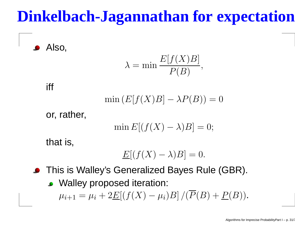# **Dinkelbach-Jagannathan for expectation**

Also,

$$
\lambda = \min \frac{E[f(X)B]}{P(B)},
$$

#### iff

$$
\min(E[f(X)B] - \lambda P(B)) = 0
$$

or, rather,

$$
\min E[(f(X) - \lambda)B] = 0;
$$

that is,

$$
\underline{E}[(f(X) - \lambda)B] = 0.
$$

- This is Walley's Generalized Bayes Rule (GBR).
	- **Walley proposed iteration:**  $\mu_{i+1} = \mu_i + 2\underline{E}[(f(X)]$  $-\mu_i)B]/(P(B) + P(B)).$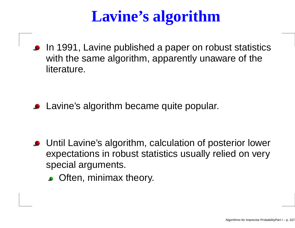# **Lavine's algorithm**

In 1991, Lavine published <sup>a</sup> paper on robust statisticswith the same algorithm, apparently unaware of theliterature.

**•** Lavine's algorithm became quite popular.

- Until Lavine's algorithm, calculation of posterior lower expectations in robust statistics usually relied on veryspecial arguments.
	- **C** Often, minimax theory.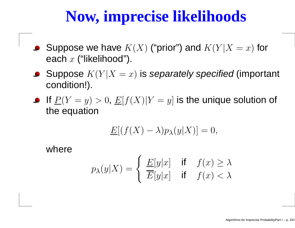# **Now, imprecise likelihoods**

- Suppose we have  $K(X)$  ("prior") and  $K(Y|X)$  $=x)$  for  $\bullet$ each  $x$  ("likelihood"). \⊿'
- Suppose  $K(Y|X)$ nl  $\bm{x}=(x)$  is separately specified (important condition!).
- If  $\underline{P}(Y=y)>0,$   $\underline{E}[f(X)|Y]$  $\sim$   $\sim$   $\sim$   $\sim$   $\sim$   $\sim$   $\sim$   $\sim$  the equation= $\left[y\right]$  is the unique solution of

$$
\underline{E}[(f(X) - \lambda)p_{\lambda}(y|X)] = 0,
$$

where

$$
p_{\lambda}(y|X) = \begin{cases} \frac{E[y|x]}{E[y|x]} & \text{if } f(x) \ge \lambda\\ \frac{E[y|x]}{E[y|x]} & \text{if } f(x) < \lambda \end{cases}
$$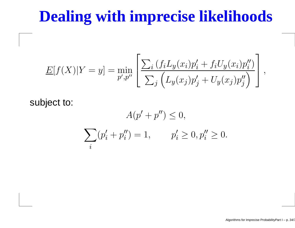# **Dealing with imprecise likelihoods**

$$
\underline{E}[f(X)|Y=y] = \min_{p',p''}\left[\frac{\sum_{i}(f_iL_y(x_i)p'_i + f_iU_y(x_i)p''_i)}{\sum_{j}(L_y(x_j)p'_j + U_y(x_j)p''_j)}\right],
$$

subject to:

$$
A(p' + p'') \le 0,
$$
  

$$
\sum_{i} (p'_i + p''_i) = 1, \qquad p'_i \ge 0, p''_i \ge 0.
$$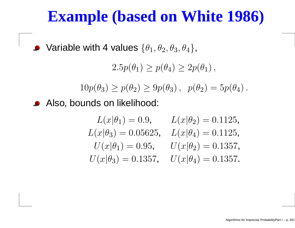## **Example (based on White 1986)**

Variable with 4 values  $\{\theta_1, \theta_2, \theta_3, \theta_4\},$ 

 $2.5p(\theta_1)\geq p(\theta_4)\geq 2p(\theta_1),$ 

 $10p(\theta_3) \ge p(\theta_2) \ge 9p(\theta_3), p(\theta_2) = 5p(\theta_4).$ 

Also, bounds on likelihood:

$$
L(x|\theta_1) = 0.9, \qquad L(x|\theta_2) = 0.1125,
$$
  
\n
$$
L(x|\theta_3) = 0.05625, \quad L(x|\theta_4) = 0.1125,
$$
  
\n
$$
U(x|\theta_1) = 0.95, \qquad U(x|\theta_2) = 0.1357,
$$
  
\n
$$
U(x|\theta_3) = 0.1357, \qquad U(x|\theta_4) = 0.1357.
$$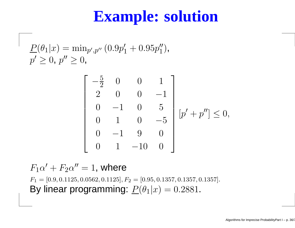### **Example: solution**

$$
\frac{P(\theta_1|x) = \min_{p',p''} (0.9p'_1 + 0.95p''_1),}{p' \ge 0, p'' \ge 0},
$$

$$
\begin{bmatrix} -\frac{5}{2} & 0 & 0 & 1 \\ 2 & 0 & 0 & -1 \\ 0 & -1 & 0 & 5 \\ 0 & 1 & 0 & -5 \\ 0 & -1 & 9 & 0 \\ 0 & 1 & -10 & 0 \end{bmatrix} [p' + p''] \le 0,
$$

 $F_1\alpha$  $^{\prime}+F_{2}\alpha^{\prime\prime}=1,$  where

 $F_1 = [0.9, 0.1125, 0.0562, 0.1125], F_2 = [0.95, 0.1357, 0.1357, 0.1357].$ By linear programming:  $\underline{P}(\theta_1|x) = 0.2881$ .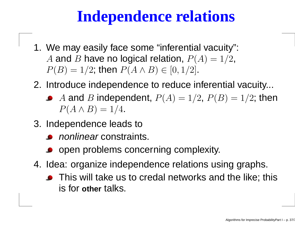## **Independence relations**

- 1. We may easily face some "inferential vacuity": A and B have no logical relation,  $P(A) = 1/2$ ,<br> $P(B) = 1/2$ ,  $P(B) = 1/2$ ; then  $P(A \wedge B) \in [0, 1/2]$ .
- 2. Introduce independence to reduce inferential vacuity...
	- A and B independent,  $P(A) = 1/2$ ,  $P(B) = 1/2$ ; then  $P(A \wedge B) = 1/4$ .
- 3. Independence leads to
	- nonlinear constraints.
	- open problems concerning complexity.
- 4. Idea: organize independence relations using graphs.
	- **•** This will take us to credal networks and the like; this is for **other** talks.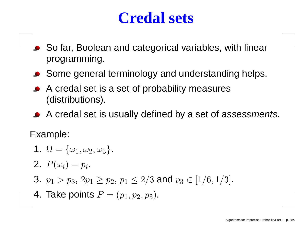### **Credal sets**

- So far, Boolean and categorical variables, with linearprogramming.
- Some general terminology and understanding helps.
- A credal set is <sup>a</sup> set of probability measures(distributions).
- A credal set is usually defined by a set of assessments.

Example:

1.  $\Omega = {\omega_1, \omega_2, \omega_3}.$ **2.**  $P(\omega_i) = p_i$ . 3.  $p_1 > p_3$ ,  $2p_1 \geq p_2$ ,  $p_1 \leq 2/3$  and  $p_3 \in [1/6, 1/3]$ . 4. Take points  $P=(p_1,p_2,p_3)$ .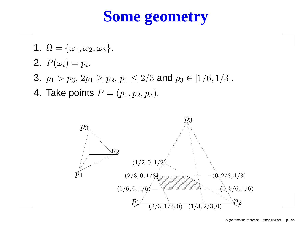## **Some geometry**

\n- 1. 
$$
\Omega = \{\omega_1, \omega_2, \omega_3\}
$$
.
\n- 2.  $P(\omega_i) = p_i$ .
\n- 3.  $p_1 > p_3$ ,  $2p_1 \geq p_2$ ,  $p_1 \leq 2/3$  and  $p_3 \in [1/6, 1/3]$ .
\n- 4. Take points  $P = (p_1, p_2, p_3)$ .
\n

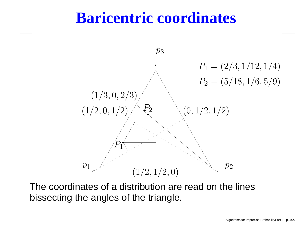### **Baricentric coordinates**



The coordinates of <sup>a</sup> distribution are read on the linesbissecting the angles of the triangle.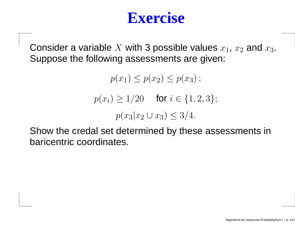### **Exercise**

Consider a variable  $X$  with 3 possible values  $x_1, \, x_2$  and  $x_3.$ Suppose the following assessments are given:

> $p(x_1) \leq p(x_2) \leq p(x_3)$ ;  $p(x_i) \ge 1/20$  for  $i \in \{1, 2, 3\};$  $p(x_3|x_2\cup x_3)\leq 3/4.$

Show the credal set determined by these assessments inbaricentric coordinates.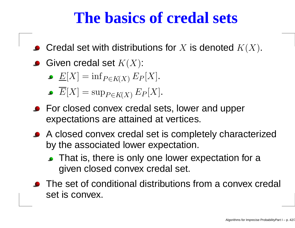### **The basics of credal sets**

- Credal set with distributions for  $X$  is denoted  $K(X).$
- Given credal set  $K(X)$ :
	- $\underline{E}[X] = \inf_{P \in K(X)}$  $_{P\in K\left( X\right) }E$  $\,P$  $P[X]$ .
	- $E[X] = \sup$  $_{P\in K\left( X\right) }E$  $\,P$  $P[X]$ .
- **•** For closed convex credal sets, lower and upper expectations are attained at vertices.
- A closed convex credal set is completely characterizedby the associated lower expectation.
	- That is, there is only one lower expectation for a given closed convex credal set.
- **•** The set of conditional distributions from a convex credal set is convex.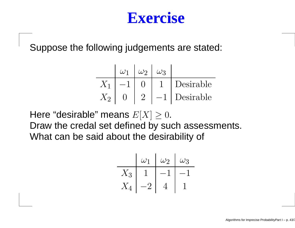### **Exercise**

Suppose the following judgements are stated:

$$
\begin{array}{c|c|c}\n & \omega_1 & \omega_2 & \omega_3 \\
\hline\nX_1 & -1 & 0 & 1\n\end{array}\n\begin{array}{c|c}\n & \omega_3 \\
\hline\n1 & \text{Desirable} \\
\hline\nX_2 & 0 & 2\n\end{array}
$$

Here "desirable" means  $E[X]\geq 0.$ Draw the credal set defined by such assessments. What can be said about the desirability of

$$
\begin{array}{c|c|c}\n & \omega_1 & \omega_2 & \omega_3 \\
\hline\nX_3 & 1 & -1 & -1 \\
X_4 & -2 & 4 & 1\n\end{array}
$$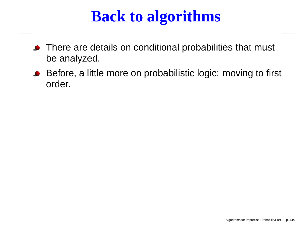## **Back to algorithms**

- **•** There are details on conditional probabilities that must be analyzed.
- Before, <sup>a</sup> little more on probabilistic logic: moving to first  $\bullet$ order.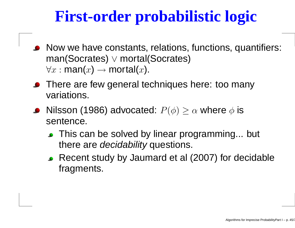## **First-order probabilistic logic**

- Now we have constants, relations, functions, quantifiers: man(Socrates)∨ mortal(Socrates)  $\forall x : \textsf{man}(x) \rightarrow$  $\rightarrow$  mortal( $x$ ).
- There are few general techniques here: too many variations.
- Nilsson (1986) advocated:  $P(\phi) \geq \alpha$  where  $\phi$  is sentence.
	- **This can be solved by linear programming... but** there are *decidability* questions.
	- Recent study by Jaumard et al (2007) for decidablefragments.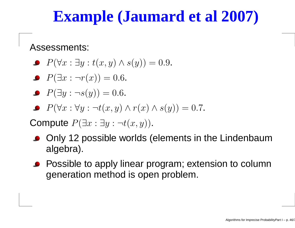## **Example (Jaumard et al 2007)**

Assessments:

- $P(\forall x : \exists y : t(x, y) \land s(y)) = 0.9.$
- $P(\exists x : \neg r(x)) = 0.6.$

$$
\bullet \ \ P(\exists y : \neg s(y)) = 0.6.
$$

$$
\bullet \ \ P(\forall x: \forall y: \neg t(x,y) \land r(x) \land s(y)) = 0.7.
$$

Compute  $P(\exists x:\exists y:\neg t(x,y))$ .

- Only <sup>12</sup> possible worlds (elements in the Lindenbaumalgebra).
- Possible to apply linear program; extension to column $\bullet$ generation method is open problem.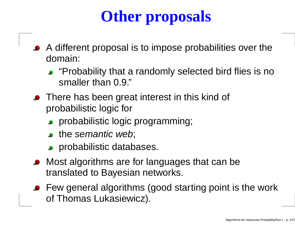# **Other proposals**

- A different proposal is to impose probabilities over thedomain:
	- "Probability that <sup>a</sup> randomly selected bird flies is nosmaller than 0.9."
- **•** There has been great interest in this kind of probabilistic logic for
	- **•** probabilistic logic programming;
	- the semantic web;
	- **Probabilistic databases.**
- Most algorithms are for languages that can be translated to Bayesian networks.
- Few general algorithms (good starting point is the workof Thomas Lukasiewicz).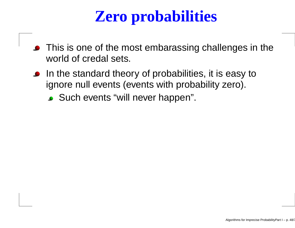## **Zero probabilities**

- This is one of the most embarassing challenges in the world of credal sets.
- **In the standard theory of probabilities, it is easy to** ignore null events (events with probability zero).
	- Such events "will never happen".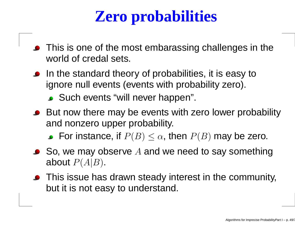## **Zero probabilities**

- This is one of the most embarassing challenges in the world of credal sets.
- **In the standard theory of probabilities, it is easy to** ignore null events (events with probability zero).
	- Such events "will never happen".
- But now there may be events with zero lower probability and nonzero upper probability.

For instance, if  $P(B)\leq \alpha$ , then  $P(B)$  may be zero.

- So, we may observe  $A$  and we need to say something<br>shout  $B(A|B)$ about  $P(A|B).$
- **•** This issue has drawn steady interest in the community, but it is not easy to understand.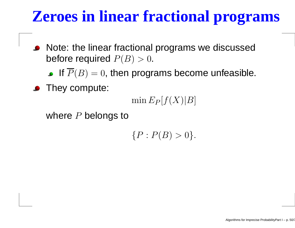## **Zeroes in linear fractional programs**

Note: the linear fractional programs we discussed $\bullet$ before required  $P(B)>0.$ 

If  $\overline{P}(B) = 0,$  then programs become unfeasible.

**•** They compute:

 $\min E_P$  $P[f(X)|B]$ 

where  $P$  belongs to

 $\{P : P(B) > 0\}.$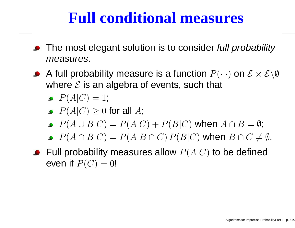### **Full conditional measures**

- The most elegant solution is to consider *full probability* measures.
- A full probability measure is a function  $P(\cdot|\cdot)$  on  $\mathcal{E} \times \mathcal{E}\backslash\emptyset$ where  $\mathcal E$  is an algebra of events, such that
	- $P(A|C) = 1;$
	- $P(A|C) \geq 0$  for all  $A$ ;
	- $P(A\cup B|C) = P(A|C) + P(B|C)$  when  $A\cap B=\emptyset$ ;
	- $P(A \cap B|C) = P(A|B \cap C) P(B|C)$  when  $B \cap C \neq \emptyset$ .
- Full probability measures allow  $P(A|C)$  to be defined even if  $P(C) = 0!$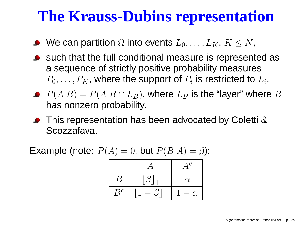## **The Krauss-Dubins representation**

- We can partition  $\Omega$  into events  $L_0,\ldots,L_K,\,K\leq N,$
- such that the full conditional measure is represented as<sup>a</sup> sequence of strictly positive probability measures $P_0,\ldots,P_K$ , where the support of  $P_i$  is restricted to  $L_i.$
- $P(A|B) = P(A|B \cap L_B)$ , where  $L_B$  $\mathbf{L}$  $70r$  has nonzero probability.  $_B$  is the "layer" where  $B$
- This representation has been advocated by Coletti &Scozzafava.

**Example (note:** 
$$
P(A) = 0
$$
, but  $P(B|A) = \beta$ ):

|                    |                           | $\overline{1}c$ |
|--------------------|---------------------------|-----------------|
| $\bm{\mathcal{B}}$ | $\lfloor \beta \rfloor_1$ | $\alpha$        |
| $B^c$              | $\beta^{\,\prime}$<br>⊣   | $\alpha$        |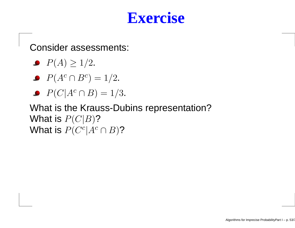### **Exercise**

Consider assessments:

- $P(A) \ge 1/2$ .
- $P(A^c \cap B^c) = 1/2.$
- $P(C|A^c \cap B) = 1/3.$

What is the Krauss-Dubins representation?What is  $P(C|B)$ ? What is  $P(C^c|A^c \cap B)$ ?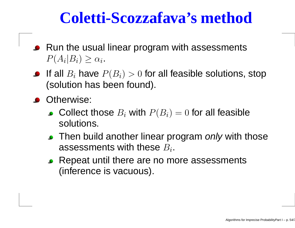### **Coletti-Scozzafava's method**

- Run the usual linear program with assessments $P(A_i|B_i)\geq\alpha_i.$
- If all  $B_i$  have  $P(B_i)>0$  for all feasible solutions, stop  $f$ (solution has been found).
- **Otherwise:** 
	- Collect those  $B_i$  with  $P(B_i) = 0$  for all feasible solutions.
	- Then build another linear program *only* with those<br>assossments with those B assessments with these  $B_i.$
	- Repeat until there are no more assessments(inference is vacuous).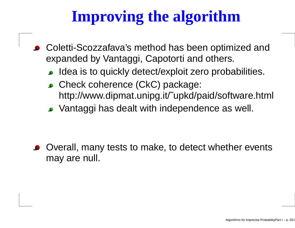## **Improving the algorithm**

- Coletti-Scozzafava's method has been optimized andexpanded by Vantaggi, Capotorti and others.
	- Idea is to quickly detect/exploit zero probabilities.
	- **Check coherence (CkC) package:** http://www.dipmat.unipg.it/˜upkd/paid/software.html
	- Vantaggi has dealt with independence as well.

Overall, many tests to make, to detect whether eventsmay are null.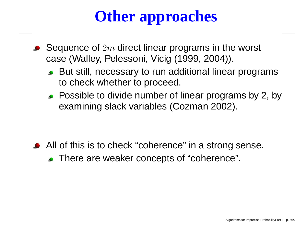# **Other approaches**

- Sequence of  $2m$  direct linear programs in the worst<br>case (Walloy, Pelessoni, Vicia (1999, 2004)) case (Walley, Pelessoni, Vicig (1999, 2004)).
	- But still, necessary to run additional linear programsto check whether to proceed.
	- Possible to divide number of linear programs by 2, by examining slack variables (Cozman 2002).

All of this is to check "coherence" in a strong sense. There are weaker concepts of "coherence".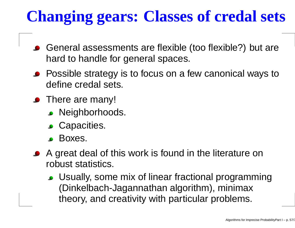# **Changing gears: Classes of credal sets**

- General assessments are flexible (too flexible?) but arehard to handle for general spaces.
- **•** Possible strategy is to focus on a few canonical ways to define credal sets.
- There are many!
	- **.** Neighborhoods.
	- **Capacities.**
	- Boxes.
- A great deal of this work is found in the literature onrobust statistics.
	- Usually, some mix of linear fractional programming(Dinkelbach-Jagannathan algorithm), minimaxtheory, and creativity with particular problems.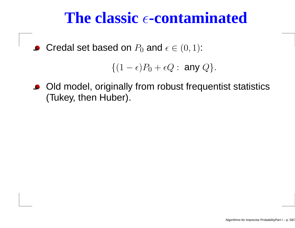# **The classic -contaminated**

Credal set based on  $P_0$  and  $\epsilon \in (0,1)$ :

$$
\{(1-\epsilon)P_0+\epsilon Q:\text{ any }Q\}.
$$

Old model, originally from robust frequentist statistics $\bullet$ (Tukey, then Huber).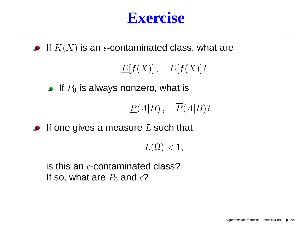### **Exercise**

If  $K(X)$  is an  $\epsilon$ -contaminated class, what are

#### $E[f(X)] \, , \quad E[f(X)]?$

If  $P_0$  is always nonzero, what is

$$
\underline{P}(A|B)\,,\quad \overline{P}(A|B)?
$$

If one gives a measure  $L$  such that

 $L(\Omega) < 1,$ 

is this an  $\epsilon$ -contaminated class? If so, what are  $P_0$  and  $\epsilon$ ?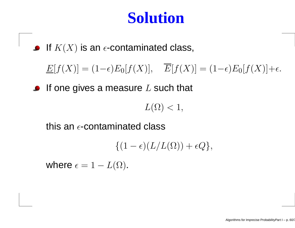### **Solution**

If  $K(X)$  is an  $\epsilon$ -contaminated class,

 $\underline{E}[f(X)] = (1-\epsilon)E_0[f(X)], \quad \overline{E}[f(X)] = (1-\epsilon)E_0[f(X)] + \epsilon.$ 

If one gives a measure  $L$  such that

 $L(\Omega) < 1,$ 

this an  $\epsilon$ -contaminated class

 $\{(1-\epsilon)(L/L(\Omega))+\epsilon Q\},\$ 

where  $\epsilon = 1 - L(\Omega)$ .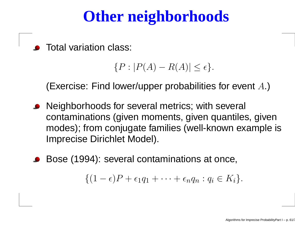## **Other neighborhoods**

Total variation class:

```
\{P:|P(A)-R(A)| \leq \epsilon.
```
(Exercise: Find lower/upper probabilities for event  $A.$ )

- Neighborhoods for several metrics; with several contaminations (given moments, given quantiles, given modes); from conjugate families (well-known example isImprecise Dirichlet Model).
- Bose (1994): several contaminations at once,

$$
\{(1-\epsilon)P+\epsilon_1q_1+\cdots+\epsilon_nq_n:q_i\in K_i\}.
$$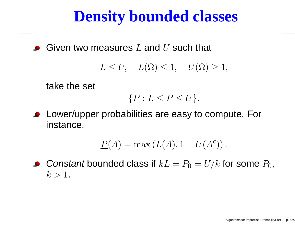### **Density bounded classes**

Given two measures  $L$  and  $U$  such that

 $L \leq U, \quad L(\Omega) \leq 1, \quad U(\Omega) \geq 1,$ 

take the set

$$
\{P: L \le P \le U\}.
$$

**• Lower/upper probabilities are easy to compute. For** instance,

$$
\underline{P}(A) = \max\left(L(A), 1 - U(A^c)\right).
$$

*Constant* bounded class if  $kL$  $=P_0=$  $=U/k$  for some  $P_0$ ,  $k > 1$ .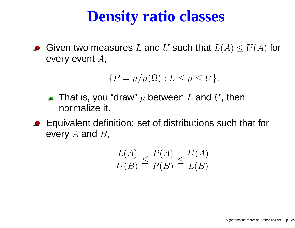## **Density ratio classes**

Given two measures  $L$  and  $U$  such that  $L(A)\leq U(A)$  for every event  $A,$ 

$$
\{P = \mu/\mu(\Omega) : L \le \mu \le U\}.
$$

- That is, you "draw"  $\mu$  between  $L$  and  $U$ , then  $\bullet$ normalize it.
- Equivalent definition: set of distributions such that forevery  $A$  and  $B$ ,

$$
\frac{L(A)}{U(B)} \le \frac{P(A)}{P(B)} \le \frac{U(A)}{L(B)}.
$$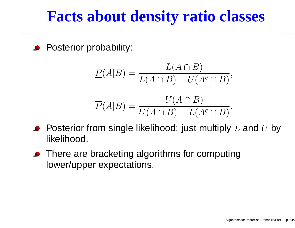### **Facts about density ratio classes**

Posterior probability:

$$
\underline{P}(A|B) = \frac{L(A \cap B)}{L(A \cap B) + U(A^c \cap B)},
$$

$$
\overline{P}(A|B) = \frac{U(A \cap B)}{U(A \cap B) + L(A^c \cap B)}.
$$

- Posterior from single likelihood: just multiply  $L$  and  $U$  by<br>Electicated likelihood.
- There are bracketing algorithms for computing lower/upper expectations.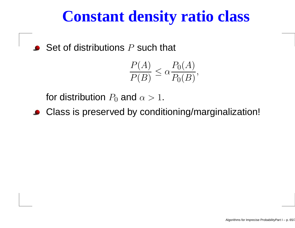### **Constant density ratio class**

Set of distributions  $P$  such that  $\bullet$ 

$$
\frac{P(A)}{P(B)} \le \alpha \frac{P_0(A)}{P_0(B)},
$$

for distribution  $P_0$  and  $\alpha > 1$ .

Class is preserved by conditioning/marginalization!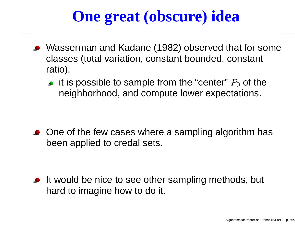## **One great (obscure) idea**

- Wasserman and Kadane (1982) observed that for someclasses (total variation, constant bounded, constant ratio),
	- it is possible to sample from the "center"  $P_0$  of the neighborhood, and compute lower expectations.

• One of the few cases where a sampling algorithm has been applied to credal sets.

If would be nice to see other sampling methods, but hard to imagine how to do it.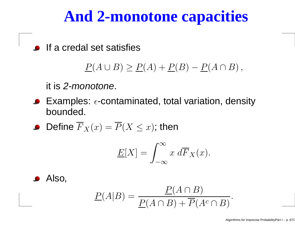## **And 2-monotone capacities**

**If a credal set satisfies** 

$$
P(A \cup B) \ge P(A) + P(B) - P(A \cap B),
$$

it is 2-*monotone*.

Examples:  $\epsilon$ -contaminated, total variation, density bounded.

• Define 
$$
\overline{F}_X(x) = \overline{P}(X \le x)
$$
; then

$$
\underline{E}[X] = \int_{-\infty}^{\infty} x \, d\overline{F}_X(x).
$$

Also,

$$
P(A|B) = \frac{P(A \cap B)}{P(A \cap B) + \overline{P}(A^c \cap B)}
$$

.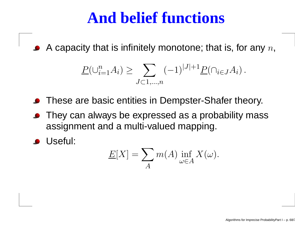### **And belief functions**

A capacity that is infinitely monotone; that is, for any  $n,$ 

$$
\underline{P}(\cup_{i=1}^{n} A_i) \ge \sum_{J \subset 1, ..., n} (-1)^{|J|+1} \underline{P}(\cap_{i \in J} A_i).
$$

- **•** These are basic entities in Dempster-Shafer theory.
- They can always be expressed as <sup>a</sup> probability massassignment and <sup>a</sup> multi-valued mapping.
- Useful:

$$
\underline{E}[X] = \sum_{A} m(A) \inf_{\omega \in A} X(\omega).
$$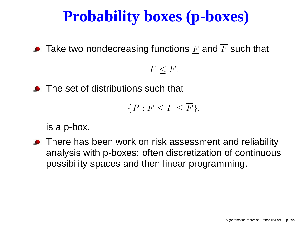## **Probability boxes (p-boxes)**

Take two nondecreasing functions  $\underline{F}$  and  $F$  such that

### $\underline{F}\leq F.$

• The set of distributions such that

$$
\{P:\underline{F}\leq F\leq \overline{F}\}.
$$

is <sup>a</sup> p-box.

**•** There has been work on risk assessment and reliability analysis with p-boxes: often discretization of continuouspossibility spaces and then linear programming.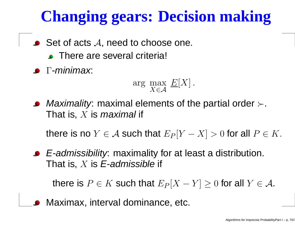# **Changing gears: Decision making**

- Set of acts  $\mathcal A,$  need to choose one.
	- **C** There are several criteria!
- $\bullet$  Γ-minimax:

$$
\arg\max_{X \in \mathcal{A}} E[X].
$$

*Maximality*: maximal elements of the partial order  $\succ$ . That is,  $X$  is *maximal* if

there is no  $Y\in\mathcal{A}$  such that  $E_P$  $P[Y]$  $[X] > 0$  for all  $P \in K$ .

E-admissibility: maximality for at least <sup>a</sup> distribution. That is,  $X$  is  $\boldsymbol{\mathit{E}}$ -admissible if

there is  $P \in K$  such that  $E_P$  $P[X]$  $-Y$ ]  $\geq 0$  for all  $Y \in \mathcal{A}$ .

Maximax, interval dominance, etc.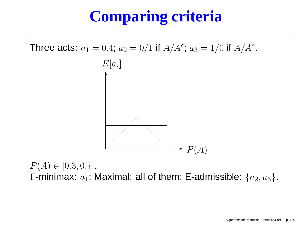## **Comparing criteria**

Three acts:  $a_1$  $_1 = 0.4; a$  $_2 = 0/1$  if  $A/A^c$  $c$ ;  $a_3 = 1/0$  if  $A/A^c$ ;<br>; .



 $P(A) \in [0.3, 0.7]$ .  $\blacksquare$  $\Gamma$ -minimax:  $a_1$ ; Maximal: all of them; E-admissible:  $\{a_2,a_3\}$ .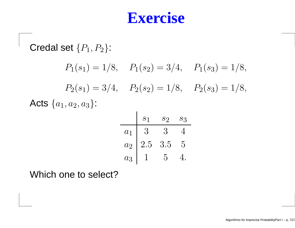### **Exercise**

Credal set  $\{P_1, P_2\}$ :  $P_1(s_1) = 1/8$ ,  $P_1(s_2) = 3/4$ ,  $P_1(s_3) = 1/8$ ,  $P_2(s_1) = 3/4$ ,  $P_2(s_2) = 1/8$ ,  $P_2(s_3) = 1/8$ , Acts  $\{a_1,a_2,a_3\}$ :

|       | S <sub>1</sub>  | $S_{2}$ | $\mathcal{S}3$ |
|-------|-----------------|---------|----------------|
| $a_1$ | $3\phantom{.0}$ | 3       |                |
| $a_2$ | $2.5\,$         | 3.5     | 5              |
| $a_3$ |                 | 5       |                |

Which one to select?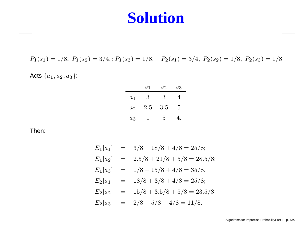#### **Solution**

 $P_1(s_1) = 1/8, P_1(s_2) = 3/4, ; P_1(s_3) = 1/8, P_2(s_1) = 3/4, P_2(s_2) = 1/8, P_2(s_3) = 1/8.$ 

Acts  $\{a_1,a_2,a_3\}$ :

|       | $s_1$   | $s_2$   | $s_3$ |
|-------|---------|---------|-------|
| $a_1$ | 3       | 3       | 4     |
| $a_2$ | $2.5\,$ | $3.5\,$ | 5     |
| $a_3$ |         | 5       |       |

Then:

$$
E_1[a_1] = 3/8 + 18/8 + 4/8 = 25/8;
$$
  
\n
$$
E_1[a_2] = 2.5/8 + 21/8 + 5/8 = 28.5/8;
$$
  
\n
$$
E_1[a_3] = 1/8 + 15/8 + 4/8 = 35/8.
$$
  
\n
$$
E_2[a_1] = 18/8 + 3/8 + 4/8 = 25/8;
$$
  
\n
$$
E_2[a_2] = 15/8 + 3.5/8 + 5/8 = 23.5/8
$$
  
\n
$$
E_2[a_3] = 2/8 + 5/8 + 4/8 = 11/8.
$$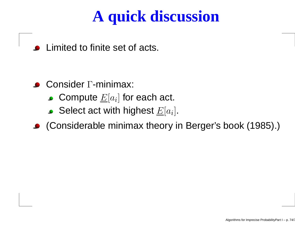# **A quick discussion**

Limited to finite set of acts.

- ConsiderΓ-minimax:
	- Compute  $\underline{E}[a_i]$  for each act. ]
	- Select act with highest  $\underline{E}[a_i].$
- (Considerable minimax theory in Berger's book (1985).)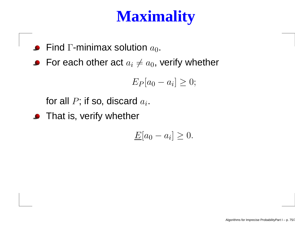## **Maximality**

- Find  $\Gamma$ -minimax solution  $a_0$ .
- For each other act  $a_i\neq a_0$ , verify whether

$$
E_P[a_0 - a_i] \ge 0;
$$

for all  $P$ ; if so, discard  $a_i$ .

**•** That is, verify whether

$$
\underline{E}[a_0 - a_i] \ge 0.
$$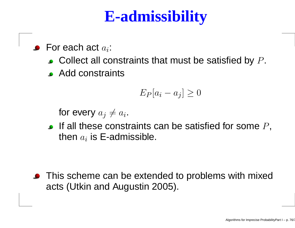## **E-admissibility**

For each act  $a_i\!\!$  :

- Collect all constraints that must be satisfied by  $P.$
- Add constraints

$$
E_P[a_i - a_j] \ge 0
$$

for every  $a_j\neq a_i.$ 

If all these constraints can be satisfied for some  $P,$ then  $a_i$  is E-admissible.

• This scheme can be extended to problems with mixed acts (Utkin and Augustin 2005).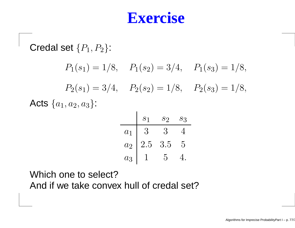#### **Exercise**

Credal set  $\{P_1, P_2\}$ :  $P_1(s_1) = 1/8$ ,  $P_1(s_2) = 3/4$ ,  $P_1(s_3) = 1/8$ ,  $P_2(s_1) = 3/4$ ,  $P_2(s_2) = 1/8$ ,  $P_2(s_3) = 1/8$ , Acts  $\{a_1,a_2,a_3\}$ :

|       | S <sub>1</sub> | $S_2$ | $S_3$ |
|-------|----------------|-------|-------|
| $a_1$ | 3              | 3     |       |
| $a_2$ | 2.5            | 3.5   | 5     |
| $a_3$ |                | 5     |       |

Which one to select?And if we take convex hull of credal set?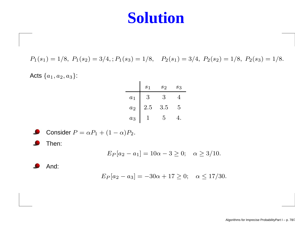#### **Solution**

 $P_1(s_1) = 1/8, P_1(s_2) = 3/4, ; P_1(s_3) = 1/8, P_2(s_1) = 3/4, P_2(s_2) = 1/8, P_2(s_3) = 1/8.$ 

Acts  $\{a_1,a_2,a_3\}$ :

|       | s <sub>1</sub> | $s_2$ | $s_3$ |
|-------|----------------|-------|-------|
| $a_1$ | 3              | 3     |       |
| $a_2$ | 2.5            | 3.5   | 5     |
| $a_3$ |                | 5     |       |

Consider 
$$
P = \alpha P_1 + (1 - \alpha)P_2
$$
.

Then:

$$
E_P[a_2 - a_1] = 10\alpha - 3 \ge 0;
$$
  $\alpha \ge 3/10.$ 

And:

$$
E_P[a_2 - a_3] = -30\alpha + 17 \ge 0; \quad \alpha \le 17/30.
$$